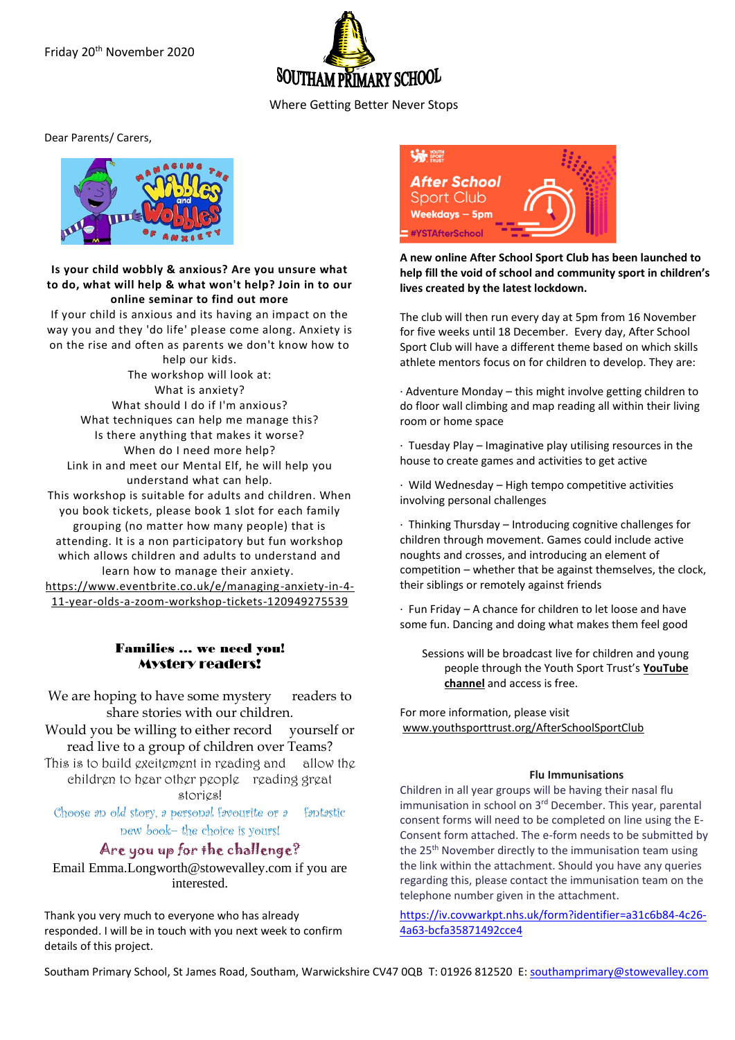

Where Getting Better Never Stops

Dear Parents/ Carers,



## **Is your child wobbly & anxious? Are you unsure what to do, what will help & what won't help? Join in to our online seminar to find out more**

If your child is anxious and its having an impact on the way you and they 'do life' please come along. Anxiety is on the rise and often as parents we don't know how to help our kids.

The workshop will look at: What is anxiety? What should I do if I'm anxious? What techniques can help me manage this? Is there anything that makes it worse? When do I need more help? Link in and meet our Mental Elf, he will help you understand what can help. This workshop is suitable for adults and children. When you book tickets, please book 1 slot for each family grouping (no matter how many people) that is attending. It is a non participatory but fun workshop which allows children and adults to understand and learn how to manage their anxiety. [https://www.eventbrite.co.uk/e/managing-anxiety-in-4-](https://www.eventbrite.co.uk/e/managing-anxiety-in-4-11-year-olds-a-zoom-workshop-tickets-120949275539) [11-year-olds-a-zoom-workshop-tickets-120949275539](https://www.eventbrite.co.uk/e/managing-anxiety-in-4-11-year-olds-a-zoom-workshop-tickets-120949275539)

# Families … we need you! Mystery readers!

We are hoping to have some mystery readers to share stories with our children. Would you be willing to either record yourself or read live to a group of children over Teams? This is to build excitement in reading and allow the children to hear other people reading great stories!

Choose an old story, a personal favourite or a fantastic new book– the choice is yours!

Are you up for the challenge?

Email Emma.Longworth@stowevalley.com if you are interested.

Thank you very much to everyone who has already responded. I will be in touch with you next week to confirm details of this project.



**A new online After School Sport Club has been launched to help fill the void of school and community sport in children's lives created by the latest lockdown.**

The club will then run every day at 5pm from 16 November for five weeks until 18 December. Every day, After School Sport Club will have a different theme based on which skills athlete mentors focus on for children to develop. They are:

· Adventure Monday – this might involve getting children to do floor wall climbing and map reading all within their living room or home space

· Tuesday Play – Imaginative play utilising resources in the house to create games and activities to get active

· Wild Wednesday – High tempo competitive activities involving personal challenges

· Thinking Thursday – Introducing cognitive challenges for children through movement. Games could include active noughts and crosses, and introducing an element of competition – whether that be against themselves, the clock, their siblings or remotely against friends

· Fun Friday – A chance for children to let loose and have some fun. Dancing and doing what makes them feel good

Sessions will be broadcast live for children and young people through the Youth Sport Trust's **[YouTube](https://www.youtube.com/user/YouthSportTrust)  [channel](https://www.youtube.com/user/YouthSportTrust)** and access is free.

For more information, please visit [www.youthsporttrust.org/AfterSchoolSportClub](https://www.youthsporttrust.org/AfterSchoolSportClub)

#### **Flu Immunisations**

Children in all year groups will be having their nasal flu immunisation in school on 3<sup>rd</sup> December. This year, parental consent forms will need to be completed on line using the E-Consent form attached. The e-form needs to be submitted by the 25<sup>th</sup> November directly to the immunisation team using the link within the attachment. Should you have any queries regarding this, please contact the immunisation team on the telephone number given in the attachment.

[https://iv.covwarkpt.nhs.uk/form?identifier=a31c6b84-4c26-](https://iv.covwarkpt.nhs.uk/form?identifier=a31c6b84-4c26-4a63-bcfa35871492cce4) [4a63-bcfa35871492cce4](https://iv.covwarkpt.nhs.uk/form?identifier=a31c6b84-4c26-4a63-bcfa35871492cce4)

Southam Primary School, St James Road, Southam, Warwickshire CV47 0QB T: 01926 812520 E[: southamprimary@stowevalley.com](mailto:southamprimary@stowevalley.com)